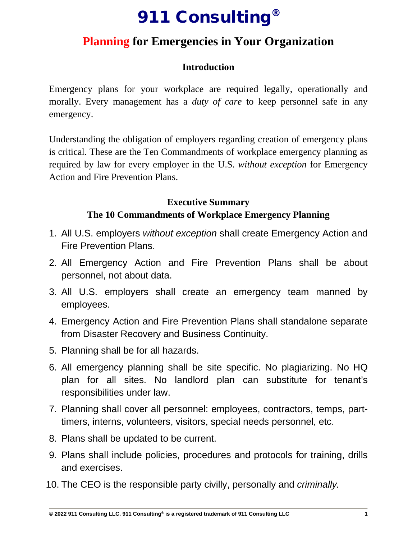# 911 Consulting®

## **Planning for Emergencies in Your Organization**

### **Introduction**

Emergency plans for your workplace are required legally, operationally and morally. Every management has a *duty of care* to keep personnel safe in any emergency.

Understanding the obligation of employers regarding creation of emergency plans is critical. These are the Ten Commandments of workplace emergency planning as required by law for every employer in the U.S. *without exception* for Emergency Action and Fire Prevention Plans.

### **Executive Summary The 10 Commandments of Workplace Emergency Planning**

- 1. All U.S. employers *without exception* shall create Emergency Action and Fire Prevention Plans.
- 2. All Emergency Action and Fire Prevention Plans shall be about personnel, not about data.
- 3. All U.S. employers shall create an emergency team manned by employees.
- 4. Emergency Action and Fire Prevention Plans shall standalone separate from Disaster Recovery and Business Continuity.
- 5. Planning shall be for all hazards.
- 6. All emergency planning shall be site specific. No plagiarizing. No HQ plan for all sites. No landlord plan can substitute for tenant's responsibilities under law.
- 7. Planning shall cover all personnel: employees, contractors, temps, parttimers, interns, volunteers, visitors, special needs personnel, etc.
- 8. Plans shall be updated to be current.
- 9. Plans shall include policies, procedures and protocols for training, drills and exercises.
- 10. The CEO is the responsible party civilly, personally and *criminally.*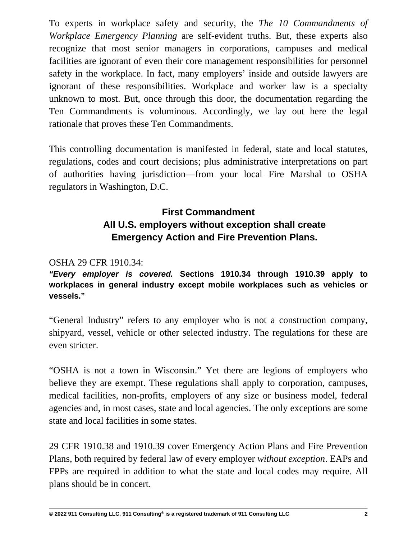To experts in workplace safety and security, the *The 10 Commandments of Workplace Emergency Planning* are self-evident truths. But, these experts also recognize that most senior managers in corporations, campuses and medical facilities are ignorant of even their core management responsibilities for personnel safety in the workplace. In fact, many employers' inside and outside lawyers are ignorant of these responsibilities. Workplace and worker law is a specialty unknown to most. But, once through this door, the documentation regarding the Ten Commandments is voluminous. Accordingly, we lay out here the legal rationale that proves these Ten Commandments.

This controlling documentation is manifested in federal, state and local statutes, regulations, codes and court decisions; plus administrative interpretations on part of authorities having jurisdiction—from your local Fire Marshal to OSHA regulators in Washington, D.C.

### **First Commandment All U.S. employers without exception shall create Emergency Action and Fire Prevention Plans.**

### OSHA 29 CFR 1910.34:

*"Every employer is covered.* **Sections 1910.34 through 1910.39 apply to workplaces in general industry except mobile workplaces such as vehicles or vessels."**

"General Industry" refers to any employer who is not a construction company, shipyard, vessel, vehicle or other selected industry. The regulations for these are even stricter.

"OSHA is not a town in Wisconsin." Yet there are legions of employers who believe they are exempt. These regulations shall apply to corporation, campuses, medical facilities, non-profits, employers of any size or business model, federal agencies and, in most cases, state and local agencies. The only exceptions are some state and local facilities in some states.

29 CFR 1910.38 and 1910.39 cover Emergency Action Plans and Fire Prevention Plans, both required by federal law of every employer *without exception*. EAPs and FPPs are required in addition to what the state and local codes may require. All plans should be in concert.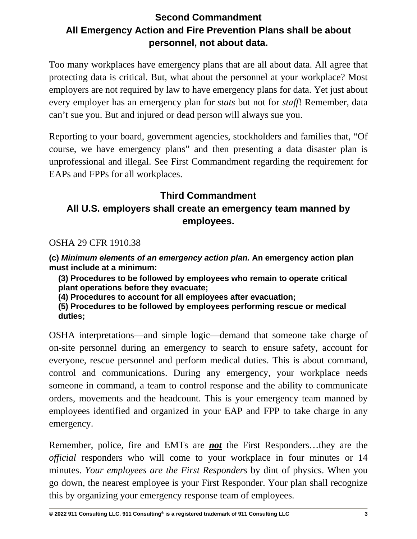### **Second Commandment All Emergency Action and Fire Prevention Plans shall be about personnel, not about data.**

Too many workplaces have emergency plans that are all about data. All agree that protecting data is critical. But, what about the personnel at your workplace? Most employers are not required by law to have emergency plans for data. Yet just about every employer has an emergency plan for *stats* but not for *staff*! Remember, data can't sue you. But and injured or dead person will always sue you.

Reporting to your board, government agencies, stockholders and families that, "Of course, we have emergency plans" and then presenting a data disaster plan is unprofessional and illegal. See First Commandment regarding the requirement for EAPs and FPPs for all workplaces.

### **Third Commandment**

### **All U.S. employers shall create an emergency team manned by employees.**

OSHA 29 CFR 1910.38

**(c)** *Minimum elements of an emergency action plan.* **An emergency action plan must include at a minimum:**

**(3) Procedures to be followed by employees who remain to operate critical plant operations before they evacuate;**

**(4) Procedures to account for all employees after evacuation;**

**(5) Procedures to be followed by employees performing rescue or medical duties;**

OSHA interpretations—and simple logic—demand that someone take charge of on-site personnel during an emergency to search to ensure safety, account for everyone, rescue personnel and perform medical duties. This is about command, control and communications. During any emergency, your workplace needs someone in command, a team to control response and the ability to communicate orders, movements and the headcount. This is your emergency team manned by employees identified and organized in your EAP and FPP to take charge in any emergency.

Remember, police, fire and EMTs are *not* the First Responders…they are the *official* responders who will come to your workplace in four minutes or 14 minutes. *Your employees are the First Responders* by dint of physics. When you go down, the nearest employee is your First Responder. Your plan shall recognize this by organizing your emergency response team of employees.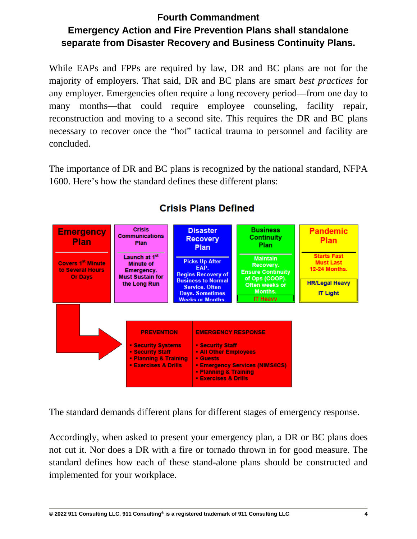## **Fourth Commandment Emergency Action and Fire Prevention Plans shall standalone separate from Disaster Recovery and Business Continuity Plans.**

While EAPs and FPPs are required by law, DR and BC plans are not for the majority of employers. That said, DR and BC plans are smart *best practices* for any employer. Emergencies often require a long recovery period—from one day to many months—that could require employee counseling, facility repair, reconstruction and moving to a second site. This requires the DR and BC plans necessary to recover once the "hot" tactical trauma to personnel and facility are concluded.

The importance of DR and BC plans is recognized by the national standard, NFPA 1600. Here's how the standard defines these different plans:



## **Crisis Plans Defined**

The standard demands different plans for different stages of emergency response.

Accordingly, when asked to present your emergency plan, a DR or BC plans does not cut it. Nor does a DR with a fire or tornado thrown in for good measure. The standard defines how each of these stand-alone plans should be constructed and implemented for your workplace.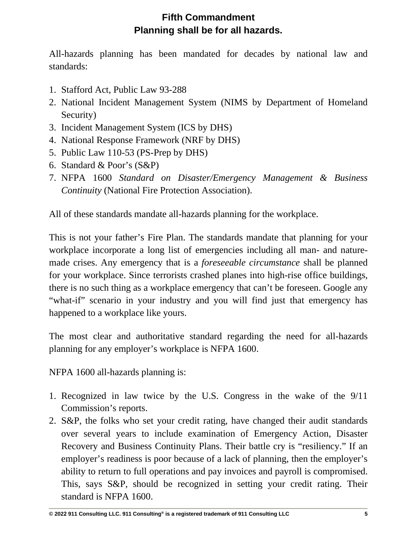### **Fifth Commandment Planning shall be for all hazards.**

All-hazards planning has been mandated for decades by national law and standards:

- 1. Stafford Act, Public Law 93-288
- 2. National Incident Management System (NIMS by Department of Homeland Security)
- 3. Incident Management System (ICS by DHS)
- 4. National Response Framework (NRF by DHS)
- 5. Public Law 110-53 (PS-Prep by DHS)
- 6. Standard & Poor's (S&P)
- 7. NFPA 1600 *Standard on Disaster/Emergency Management & Business Continuity* (National Fire Protection Association).

All of these standards mandate all-hazards planning for the workplace.

This is not your father's Fire Plan. The standards mandate that planning for your workplace incorporate a long list of emergencies including all man- and naturemade crises. Any emergency that is a *foreseeable circumstance* shall be planned for your workplace. Since terrorists crashed planes into high-rise office buildings, there is no such thing as a workplace emergency that can't be foreseen. Google any "what-if" scenario in your industry and you will find just that emergency has happened to a workplace like yours.

The most clear and authoritative standard regarding the need for all-hazards planning for any employer's workplace is NFPA 1600.

NFPA 1600 all-hazards planning is:

- 1. Recognized in law twice by the U.S. Congress in the wake of the 9/11 Commission's reports.
- 2. S&P, the folks who set your credit rating, have changed their audit standards over several years to include examination of Emergency Action, Disaster Recovery and Business Continuity Plans. Their battle cry is "resiliency." If an employer's readiness is poor because of a lack of planning, then the employer's ability to return to full operations and pay invoices and payroll is compromised. This, says S&P, should be recognized in setting your credit rating. Their standard is NFPA 1600.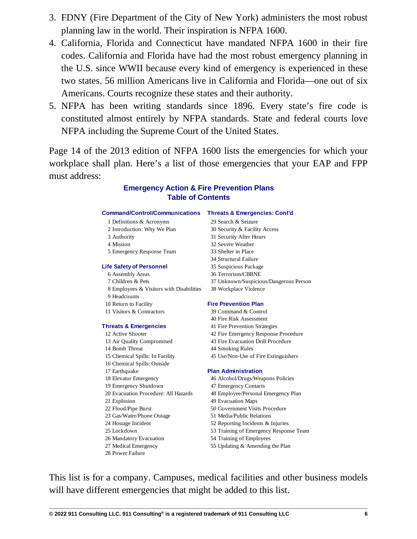- 3. FDNY (Fire Department of the City of New York) administers the most robust planning law in the world. Their inspiration is NFPA 1600.
- 4. California, Florida and Connecticut have mandated NFPA 1600 in their fire codes. California and Florida have had the most robust emergency planning in the U.S. since WWII because every kind of emergency is experienced in these two states. 56 million Americans live in California and Florida—one out of six Americans. Courts recognize these states and their authority.
- 5. NFPA has been writing standards since 1896. Every state's fire code is constituted almost entirely by NFPA standards. State and federal courts love NFPA including the Supreme Court of the United States.

Page 14 of the 2013 edition of NFPA 1600 lists the emergencies for which your workplace shall plan. Here's a list of those emergencies that your EAP and FPP must address:

### **Emergency Action & Fire Prevention Plans Table of Contents**

#### **Command/Control/Communications Threats & Emergencies: Cont'd**

- 1 Definitions & Acronyms 29 Search & Seizure
- 
- 
- 
- 5 Emergency Response Team 33 Shelter in Place

#### **Life Safety of Personnel** 35 Suspicious Package

- 
- 
- 8 Employees & Visitors with Disabilities 38 Workplace Violence
- 9 Headcounts
- 
- 11 Visitors & Contractors 39 Command & Control

#### **Threats & Emergencies** 41 Fire Prevention Strategies

- 13 Air Quality Compromised 43 Fire Evacuation Drill Procedure 14 Bomb Threat 44 Smoking Rules 16 Chemical Spills: Outside 17 Earthquake **Plan Administration** 18 Elevator Emergency 46 Alcohol/Drugs/Weapons Policies 19 Emergency Shutdown 47 Emergency Contacts 21 Explosion 49 Evacuation Maps 22 Flood/Pipe Burst 50 Government Visits Procedure 23 Gas/Water/Phone Outage 51 Media/Public Relations 24 Hostage Incident 52 Reporting Incidents & Injuries 26 Mandatory Evacuation 54 Training of Employees
- 28 Power Failure

- 2 Introduction: Why We Plan 30 Security & Facility Access 3 Authority 31 Security After Hours 4 Mission 32 Severe Weather 34 Structural Failure 6 Assembly Areas 36 Terrorism/CBRNE 7 Children & Pets 37 Unknown/Suspicious/Dangerous Person
	-

#### 10 Return to Facility **Fire Prevention Plan**

- 
- 40 Fire Risk Assessment
- 
- 12 Active Shooter 42 Fire Emergency Response Procedure
	-
	-
- 15 Chemical Spills: In Facility 45 Use/Non-Use of Fire Extinguishers

- 
- 
- 20 Evacuation Procedure: All Hazards 48 Employee/Personal Emergency Plan
	-
	-
	-
	-
- 25 Lockdown 53 Training of Emergency Response Team
	-
- 27 Medical Emergency 55 Updating & Amending the Plan

This list is for a company. Campuses, medical facilities and other business models will have different emergencies that might be added to this list.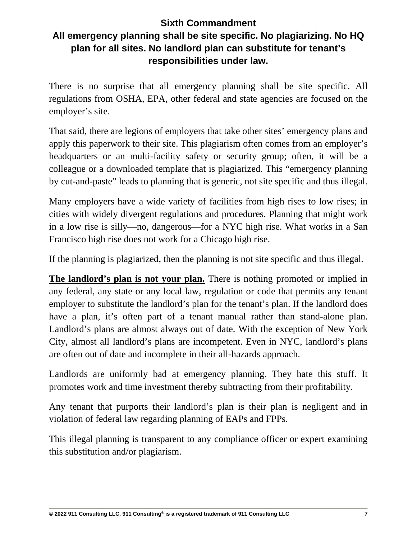### **Sixth Commandment All emergency planning shall be site specific. No plagiarizing. No HQ plan for all sites. No landlord plan can substitute for tenant's responsibilities under law.**

There is no surprise that all emergency planning shall be site specific. All regulations from OSHA, EPA, other federal and state agencies are focused on the employer's site.

That said, there are legions of employers that take other sites' emergency plans and apply this paperwork to their site. This plagiarism often comes from an employer's headquarters or an multi-facility safety or security group; often, it will be a colleague or a downloaded template that is plagiarized. This "emergency planning by cut-and-paste" leads to planning that is generic, not site specific and thus illegal.

Many employers have a wide variety of facilities from high rises to low rises; in cities with widely divergent regulations and procedures. Planning that might work in a low rise is silly—no, dangerous—for a NYC high rise. What works in a San Francisco high rise does not work for a Chicago high rise.

If the planning is plagiarized, then the planning is not site specific and thus illegal.

**The landlord's plan is not your plan.** There is nothing promoted or implied in any federal, any state or any local law, regulation or code that permits any tenant employer to substitute the landlord's plan for the tenant's plan. If the landlord does have a plan, it's often part of a tenant manual rather than stand-alone plan. Landlord's plans are almost always out of date. With the exception of New York City, almost all landlord's plans are incompetent. Even in NYC, landlord's plans are often out of date and incomplete in their all-hazards approach.

Landlords are uniformly bad at emergency planning. They hate this stuff. It promotes work and time investment thereby subtracting from their profitability.

Any tenant that purports their landlord's plan is their plan is negligent and in violation of federal law regarding planning of EAPs and FPPs.

This illegal planning is transparent to any compliance officer or expert examining this substitution and/or plagiarism.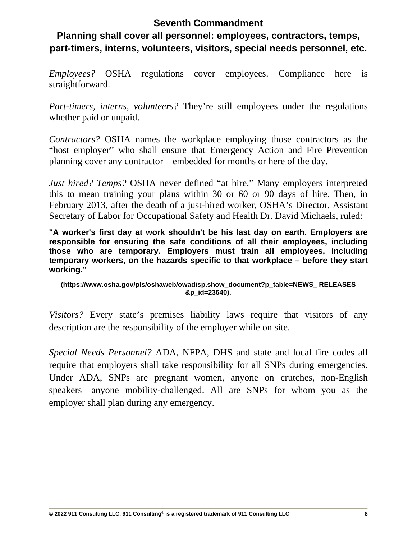### **Seventh Commandment**

### **Planning shall cover all personnel: employees, contractors, temps, part-timers, interns, volunteers, visitors, special needs personnel, etc.**

*Employees?* OSHA regulations cover employees. Compliance here is straightforward.

*Part-timers, interns, volunteers?* They're still employees under the regulations whether paid or unpaid.

*Contractors?* OSHA names the workplace employing those contractors as the "host employer" who shall ensure that Emergency Action and Fire Prevention planning cover any contractor—embedded for months or here of the day.

*Just hired? Temps?* OSHA never defined "at hire." Many employers interpreted this to mean training your plans within 30 or 60 or 90 days of hire. Then, in February 2013, after the death of a just-hired worker, OSHA's Director, Assistant Secretary of Labor for Occupational Safety and Health Dr. David Michaels, ruled:

**"A worker's first day at work shouldn't be his last day on earth. Employers are responsible for ensuring the safe conditions of all their employees, including those who are temporary. Employers must train all employees, including temporary workers, on the hazards specific to that workplace – before they start working."**

#### **(https://www.osha.gov/pls/oshaweb/owadisp.show\_document?p\_table=NEWS\_ RELEASES &p\_id=23640).**

*Visitors?* Every state's premises liability laws require that visitors of any description are the responsibility of the employer while on site.

*Special Needs Personnel?* ADA, NFPA, DHS and state and local fire codes all require that employers shall take responsibility for all SNPs during emergencies. Under ADA, SNPs are pregnant women, anyone on crutches, non-English speakers—anyone mobility-challenged. All are SNPs for whom you as the employer shall plan during any emergency.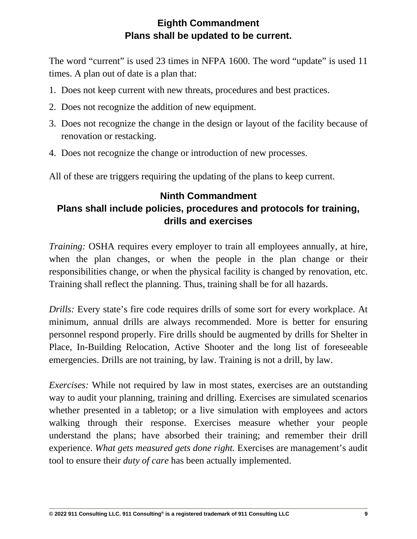### **Eighth Commandment Plans shall be updated to be current.**

The word "current" is used 23 times in NFPA 1600. The word "update" is used 11 times. A plan out of date is a plan that:

- 1. Does not keep current with new threats, procedures and best practices.
- 2. Does not recognize the addition of new equipment.
- 3. Does not recognize the change in the design or layout of the facility because of renovation or restacking.
- 4. Does not recognize the change or introduction of new processes.

All of these are triggers requiring the updating of the plans to keep current.

### **Ninth Commandment Plans shall include policies, procedures and protocols for training, drills and exercises**

*Training:* OSHA requires every employer to train all employees annually, at hire, when the plan changes, or when the people in the plan change or their responsibilities change, or when the physical facility is changed by renovation, etc. Training shall reflect the planning. Thus, training shall be for all hazards.

*Drills:* Every state's fire code requires drills of some sort for every workplace. At minimum, annual drills are always recommended. More is better for ensuring personnel respond properly. Fire drills should be augmented by drills for Shelter in Place, In-Building Relocation, Active Shooter and the long list of foreseeable emergencies. Drills are not training, by law. Training is not a drill, by law.

*Exercises:* While not required by law in most states, exercises are an outstanding way to audit your planning, training and drilling. Exercises are simulated scenarios whether presented in a tabletop; or a live simulation with employees and actors walking through their response. Exercises measure whether your people understand the plans; have absorbed their training; and remember their drill experience. *What gets measured gets done right.* Exercises are management's audit tool to ensure their *duty of care* has been actually implemented.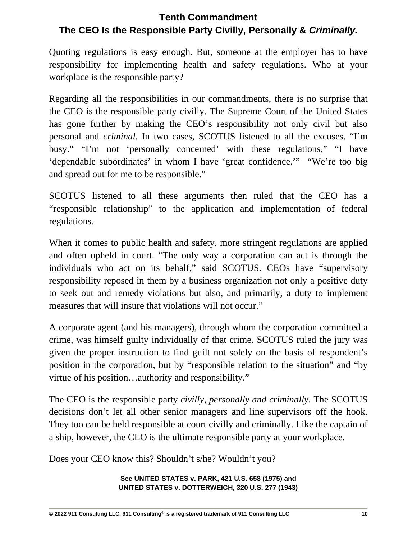### **Tenth Commandment The CEO Is the Responsible Party Civilly, Personally &** *Criminally.*

Quoting regulations is easy enough. But, someone at the employer has to have responsibility for implementing health and safety regulations. Who at your workplace is the responsible party?

Regarding all the responsibilities in our commandments, there is no surprise that the CEO is the responsible party civilly. The Supreme Court of the United States has gone further by making the CEO's responsibility not only civil but also personal and *criminal.* In two cases, SCOTUS listened to all the excuses. "I'm busy." "I'm not 'personally concerned' with these regulations," "I have 'dependable subordinates' in whom I have 'great confidence.'" "We're too big and spread out for me to be responsible."

SCOTUS listened to all these arguments then ruled that the CEO has a "responsible relationship" to the application and implementation of federal regulations.

When it comes to public health and safety, more stringent regulations are applied and often upheld in court. "The only way a corporation can act is through the individuals who act on its behalf," said SCOTUS. CEOs have "supervisory responsibility reposed in them by a business organization not only a positive duty to seek out and remedy violations but also, and primarily, a duty to implement measures that will insure that violations will not occur."

A corporate agent (and his managers), through whom the corporation committed a crime, was himself guilty individually of that crime. SCOTUS ruled the jury was given the proper instruction to find guilt not solely on the basis of respondent's position in the corporation, but by "responsible relation to the situation" and "by virtue of his position…authority and responsibility."

The CEO is the responsible party *civilly, personally and criminally*. The SCOTUS decisions don't let all other senior managers and line supervisors off the hook. They too can be held responsible at court civilly and criminally. Like the captain of a ship, however, the CEO is the ultimate responsible party at your workplace.

Does your CEO know this? Shouldn't s/he? Wouldn't you?

**See UNITED STATES v. PARK, 421 U.S. 658 (1975) and UNITED STATES v. DOTTERWEICH, 320 U.S. 277 (1943)**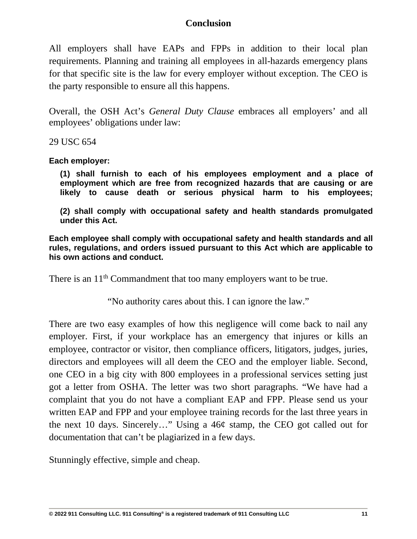### **Conclusion**

All employers shall have EAPs and FPPs in addition to their local plan requirements. Planning and training all employees in all-hazards emergency plans for that specific site is the law for every employer without exception. The CEO is the party responsible to ensure all this happens.

Overall, the OSH Act's *General Duty Clause* embraces all employers' and all employees' obligations under law:

29 USC 654

**Each employer:**

**(1) shall furnish to each of his employees employment and a place of employment which are free from recognized hazards that are causing or are likely to cause death or serious physical harm to his employees;**

**(2) shall comply with occupational safety and health standards promulgated under this Act.**

**Each employee shall comply with occupational safety and health standards and all rules, regulations, and orders issued pursuant to this Act which are applicable to his own actions and conduct.**

There is an 11<sup>th</sup> Commandment that too many employers want to be true.

"No authority cares about this. I can ignore the law."

There are two easy examples of how this negligence will come back to nail any employer. First, if your workplace has an emergency that injures or kills an employee, contractor or visitor, then compliance officers, litigators, judges, juries, directors and employees will all deem the CEO and the employer liable. Second, one CEO in a big city with 800 employees in a professional services setting just got a letter from OSHA. The letter was two short paragraphs. "We have had a complaint that you do not have a compliant EAP and FPP. Please send us your written EAP and FPP and your employee training records for the last three years in the next 10 days. Sincerely…" Using a 46¢ stamp, the CEO got called out for documentation that can't be plagiarized in a few days.

Stunningly effective, simple and cheap.